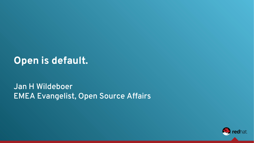## **Open is default.**

#### Jan H Wildeboer EMEA Evangelist, Open Source Affairs

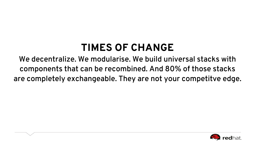# **TIMES OF CHANGE**

We decentralize. We modularise. We build universal stacks with components that can be recombined. And 80% of those stacks are completely exchangeable. They are not your competitve edge.

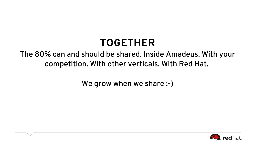# **TOGETHER**

#### The 80% can and should be shared. Inside Amadeus. With your competition. With other verticals. With Red Hat.

We grow when we share :-)

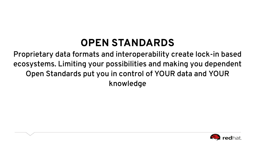# **OPEN STANDARDS**

Proprietary data formats and interoperability create lock-in based ecosystems. Limiting your possibilities and making you dependent Open Standards put you in control of YOUR data and YOUR knowledge

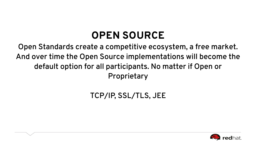# **OPEN SOURCE**

Open Standards create a competitive ecosystem, a free market. And over time the Open Source implementations will become the default option for all participants. No matter if Open or Proprietary

### TCP/IP, SSL/TLS, JEE

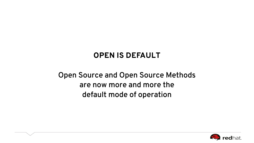#### **OPEN IS DEFAULT**

### Open Source and Open Source Methods are now more and more the default mode of operation

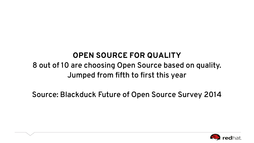#### **OPEN SOURCE FOR QUALITY**

### 8 out of 10 are choosing Open Source based on quality. Jumped from fifth to first this year

Source: Blackduck Future of Open Source Survey 2014

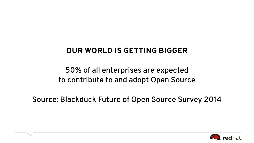#### **OUR WORLD IS GETTING BIGGER**

#### 50% of all enterprises are expected to contribute to and adopt Open Source

Source: Blackduck Future of Open Source Survey 2014

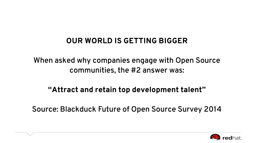#### **OUR WORLD IS GETTING BIGGER**

#### When asked why companies engage with Open Source communities, the #2 answer was:

#### **"Attract and retain top development talent"**

Source: Blackduck Future of Open Source Survey 2014

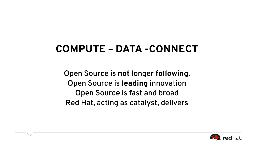# **COMPUTE – DATA -CONNECT**

Open Source is **not** longer **following**. Open Source is **leading** innovation Open Source is fast and broad Red Hat, acting as catalyst, delivers

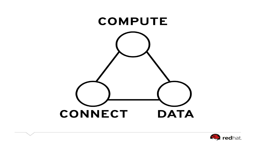

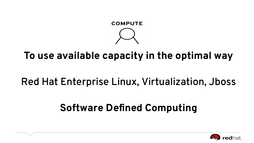

## **To use available capacity in the optimal way**

## Red Hat Enterprise Linux, Virtualization, Jboss

# **Software Defined Computing**

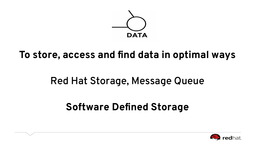

## **To store, access and find data in optimal ways**

## Red Hat Storage, Message Queue

## **Software Defined Storage**

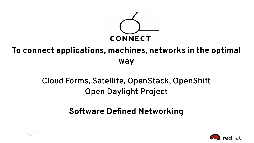

### **To connect applications, machines, networks in the optimal way**

### Cloud Forms, Satellite, OpenStack, OpenShift Open Daylight Project

#### **Software Defined Networking**

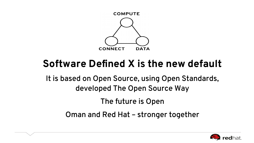

## **Software Defined X is the new default**

It is based on Open Source, using Open Standards, developed The Open Source Way

The future is Open

Oman and Red Hat – stronger together